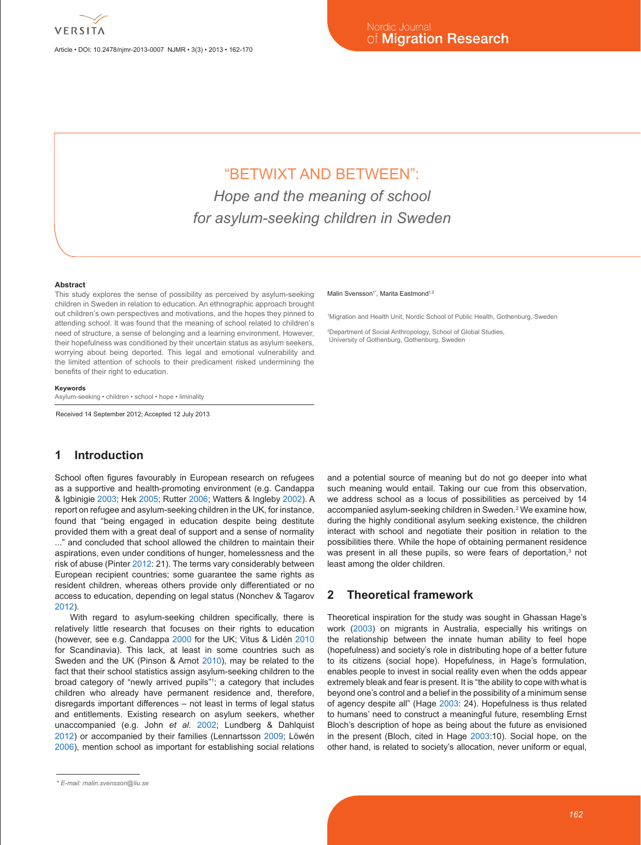

Article • DOI: 10.2478/njmr-2013-0007 NJMR • 3(3) • 2013 • 162-170

# "BETWIXT AND BETWEEN": *Hope and the meaning of school for asylum-seeking children in Sweden*

### **Abstract**

This study explores the sense of possibility as perceived by asylum-seeking children in Sweden in relation to education. An ethnographic approach brought out children's own perspectives and motivations, and the hopes they pinned to attending school. It was found that the meaning of school related to children's need of structure, a sense of belonging and a learning environment. However, their hopefulness was conditioned by their uncertain status as asylum seekers, worrying about being deported. This legal and emotional vulnerability and the limited attention of schools to their predicament risked undermining the benefits of their right to education.

### **Keywords** Asylum-seeking • children • school • hope • liminality

Received 14 September 2012; Accepted 12 July 2013

# **1 Introduction**

School often figures favourably in European research on refugees as a supportive and health-promoting environment (e.g. Candappa & Igbinigie 2003; Hek 2005; Rutter 2006; Watters & Ingleby 2002). A report on refugee and asylum-seeking children in the UK, for instance, found that "being engaged in education despite being destitute provided them with a great deal of support and a sense of normality ..." and concluded that school allowed the children to maintain their aspirations, even under conditions of hunger, homelessness and the risk of abuse (Pinter 2012: 21). The terms vary considerably between European recipient countries; some guarantee the same rights as resident children, whereas others provide only differentiated or no access to education, depending on legal status (Nonchev & Tagarov 2012).

With regard to asylum-seeking children specifically, there is relatively little research that focuses on their rights to education (however, see e.g. Candappa 2000 for the UK; Vitus & Lidén 2010 for Scandinavia). This lack, at least in some countries such as Sweden and the UK (Pinson & Arnot 2010), may be related to the fact that their school statistics assign asylum-seeking children to the broad category of "newly arrived pupils"1 ; a category that includes children who already have permanent residence and, therefore, disregards important differences – not least in terms of legal status and entitlements. Existing research on asylum seekers, whether unaccompanied (e.g. John *et al.* 2002; Lundberg & Dahlquist 2012) or accompanied by their families (Lennartsson 2009; Löwén 2006), mention school as important for establishing social relations

#### Malin Svensson<sup>1\*</sup>, Marita Eastmond<sup>1,2</sup>

1 Migration and Health Unit, Nordic School of Public Health, Gothenburg, Sweden

2 Department of Social Anthropology, School of Global Studies, University of Gothenburg, Gothenburg, Sweden

and a potential source of meaning but do not go deeper into what such meaning would entail. Taking our cue from this observation, we address school as a locus of possibilities as perceived by 14 accompanied asylum-seeking children in Sweden.2 We examine how, during the highly conditional asylum seeking existence, the children interact with school and negotiate their position in relation to the possibilities there. While the hope of obtaining permanent residence was present in all these pupils, so were fears of deportation,<sup>3</sup> not least among the older children.

# **2 Theoretical framework**

Theoretical inspiration for the study was sought in Ghassan Hage's work (2003) on migrants in Australia, especially his writings on the relationship between the innate human ability to feel hope (hopefulness) and society's role in distributing hope of a better future to its citizens (social hope). Hopefulness, in Hage's formulation, enables people to invest in social reality even when the odds appear extremely bleak and fear is present. It is "the ability to cope with what is beyond one's control and a belief in the possibility of a minimum sense of agency despite all" (Hage 2003: 24). Hopefulness is thus related to humans' need to construct a meaningful future, resembling Ernst Bloch's description of hope as being about the future as envisioned in the present (Bloch, cited in Hage 2003:10). Social hope, on the other hand, is related to society's allocation, never uniform or equal,

*<sup>\*</sup> E-mail: malin.svensson@liu.se*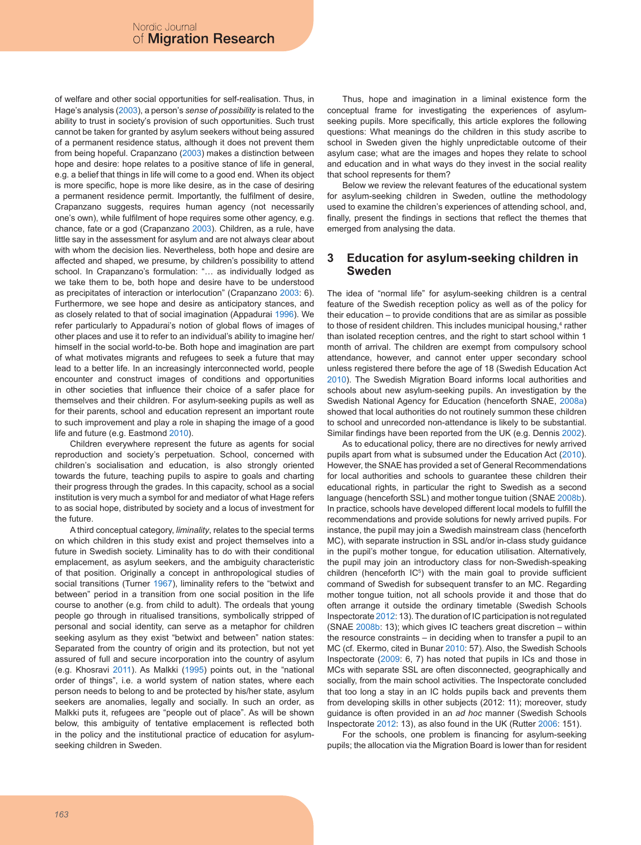of welfare and other social opportunities for self-realisation. Thus, in Hage's analysis (2003), a person's *sense of possibility* is related to the ability to trust in society's provision of such opportunities. Such trust cannot be taken for granted by asylum seekers without being assured of a permanent residence status, although it does not prevent them from being hopeful. Crapanzano (2003) makes a distinction between hope and desire: hope relates to a positive stance of life in general, e.g. a belief that things in life will come to a good end. When its object is more specific, hope is more like desire, as in the case of desiring a permanent residence permit. Importantly, the fulfilment of desire, Crapanzano suggests, requires human agency (not necessarily one's own), while fulfilment of hope requires some other agency, e.g. chance, fate or a god (Crapanzano 2003). Children, as a rule, have little say in the assessment for asylum and are not always clear about with whom the decision lies. Nevertheless, both hope and desire are affected and shaped, we presume, by children's possibility to attend school. In Crapanzano's formulation: "… as individually lodged as we take them to be, both hope and desire have to be understood as precipitates of interaction or interlocution" (Crapanzano 2003: 6). Furthermore, we see hope and desire as anticipatory stances, and as closely related to that of social imagination (Appadurai 1996). We refer particularly to Appadurai's notion of global flows of images of other places and use it to refer to an individual's ability to imagine her/ himself in the social world-to-be. Both hope and imagination are part of what motivates migrants and refugees to seek a future that may lead to a better life. In an increasingly interconnected world, people encounter and construct images of conditions and opportunities in other societies that influence their choice of a safer place for themselves and their children. For asylum-seeking pupils as well as for their parents, school and education represent an important route to such improvement and play a role in shaping the image of a good life and future (e.g. Eastmond 2010).

Children everywhere represent the future as agents for social reproduction and society's perpetuation. School, concerned with children's socialisation and education, is also strongly oriented towards the future, teaching pupils to aspire to goals and charting their progress through the grades. In this capacity, school as a social institution is very much a symbol for and mediator of what Hage refers to as social hope, distributed by society and a locus of investment for the future.

A third conceptual category, *liminality*, relates to the special terms on which children in this study exist and project themselves into a future in Swedish society. Liminality has to do with their conditional emplacement, as asylum seekers, and the ambiguity characteristic of that position. Originally a concept in anthropological studies of social transitions (Turner 1967), liminality refers to the "betwixt and between" period in a transition from one social position in the life course to another (e.g. from child to adult). The ordeals that young people go through in ritualised transitions, symbolically stripped of personal and social identity, can serve as a metaphor for children seeking asylum as they exist "betwixt and between" nation states: Separated from the country of origin and its protection, but not yet assured of full and secure incorporation into the country of asylum (e.g. Khosravi 2011). As Malkki (1995) points out, in the "national order of things", i.e. a world system of nation states, where each person needs to belong to and be protected by his/her state, asylum seekers are anomalies, legally and socially. In such an order, as Malkki puts it, refugees are "people out of place". As will be shown below, this ambiguity of tentative emplacement is reflected both in the policy and the institutional practice of education for asylumseeking children in Sweden.

Thus, hope and imagination in a liminal existence form the conceptual frame for investigating the experiences of asylumseeking pupils. More specifically, this article explores the following questions: What meanings do the children in this study ascribe to school in Sweden given the highly unpredictable outcome of their asylum case; what are the images and hopes they relate to school and education and in what ways do they invest in the social reality that school represents for them?

Below we review the relevant features of the educational system for asylum-seeking children in Sweden, outline the methodology used to examine the children's experiences of attending school, and, finally, present the findings in sections that reflect the themes that emerged from analysing the data.

# **3 Education for asylum-seeking children in Sweden**

The idea of "normal life" for asylum-seeking children is a central feature of the Swedish reception policy as well as of the policy for their education – to provide conditions that are as similar as possible to those of resident children. This includes municipal housing,<sup>4</sup> rather than isolated reception centres, and the right to start school within 1 month of arrival. The children are exempt from compulsory school attendance, however, and cannot enter upper secondary school unless registered there before the age of 18 (Swedish Education Act 2010). The Swedish Migration Board informs local authorities and schools about new asylum-seeking pupils. An investigation by the Swedish National Agency for Education (henceforth SNAE, 2008a) showed that local authorities do not routinely summon these children to school and unrecorded non-attendance is likely to be substantial. Similar findings have been reported from the UK (e.g. Dennis 2002).

As to educational policy, there are no directives for newly arrived pupils apart from what is subsumed under the Education Act (2010). However, the SNAE has provided a set of General Recommendations for local authorities and schools to guarantee these children their educational rights, in particular the right to Swedish as a second language (henceforth SSL) and mother tongue tuition (SNAE 2008b). In practice, schools have developed different local models to fulfill the recommendations and provide solutions for newly arrived pupils. For instance, the pupil may join a Swedish mainstream class (henceforth MC), with separate instruction in SSL and/or in-class study guidance in the pupil's mother tongue, for education utilisation. Alternatively, the pupil may join an introductory class for non-Swedish-speaking children (henceforth IC5 ) with the main goal to provide sufficient command of Swedish for subsequent transfer to an MC. Regarding mother tongue tuition, not all schools provide it and those that do often arrange it outside the ordinary timetable (Swedish Schools Inspectorate 2012: 13). The duration of IC participation is not regulated (SNAE 2008b: 13); which gives IC teachers great discretion – within the resource constraints – in deciding when to transfer a pupil to an MC (cf. Ekermo, cited in Bunar 2010: 57). Also, the Swedish Schools Inspectorate (2009: 6, 7) has noted that pupils in ICs and those in MCs with separate SSL are often disconnected, geographically and socially, from the main school activities. The Inspectorate concluded that too long a stay in an IC holds pupils back and prevents them from developing skills in other subjects (2012: 11); moreover, study guidance is often provided in an *ad hoc* manner (Swedish Schools Inspectorate 2012: 13), as also found in the UK (Rutter 2006: 151).

For the schools, one problem is financing for asylum-seeking pupils; the allocation via the Migration Board is lower than for resident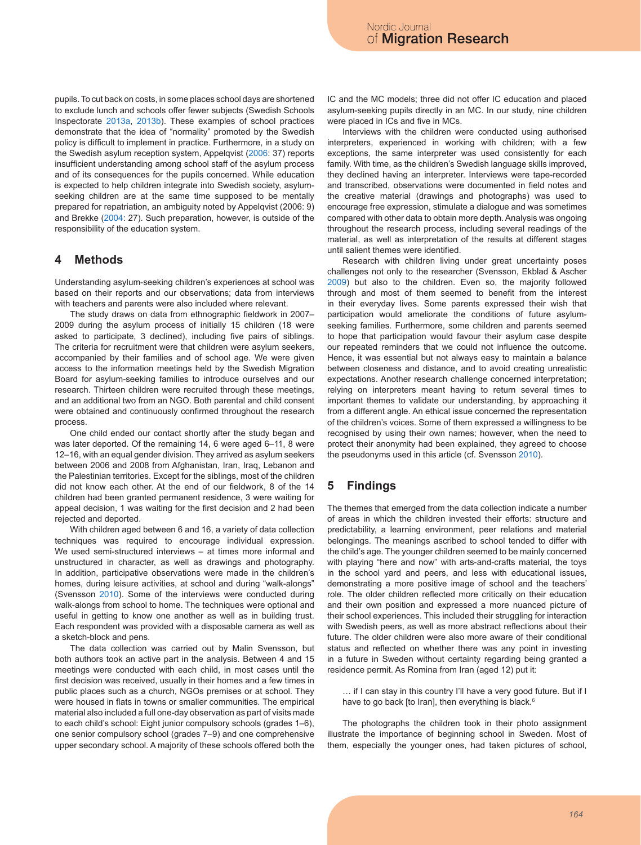pupils. To cut back on costs, in some places school days are shortened to exclude lunch and schools offer fewer subjects (Swedish Schools Inspectorate 2013a, 2013b). These examples of school practices demonstrate that the idea of "normality" promoted by the Swedish policy is difficult to implement in practice. Furthermore, in a study on the Swedish asylum reception system, Appelqvist (2006: 37) reports insufficient understanding among school staff of the asylum process and of its consequences for the pupils concerned. While education is expected to help children integrate into Swedish society, asylumseeking children are at the same time supposed to be mentally prepared for repatriation, an ambiguity noted by Appelqvist (2006: 9) and Brekke (2004: 27). Such preparation, however, is outside of the responsibility of the education system.

# **4 Methods**

Understanding asylum-seeking children's experiences at school was based on their reports and our observations; data from interviews with teachers and parents were also included where relevant.

The study draws on data from ethnographic fieldwork in 2007– 2009 during the asylum process of initially 15 children (18 were asked to participate, 3 declined), including five pairs of siblings. The criteria for recruitment were that children were asylum seekers, accompanied by their families and of school age. We were given access to the information meetings held by the Swedish Migration Board for asylum-seeking families to introduce ourselves and our research. Thirteen children were recruited through these meetings, and an additional two from an NGO. Both parental and child consent were obtained and continuously confirmed throughout the research process.

One child ended our contact shortly after the study began and was later deported. Of the remaining 14, 6 were aged 6–11, 8 were 12–16, with an equal gender division. They arrived as asylum seekers between 2006 and 2008 from Afghanistan, Iran, Iraq, Lebanon and the Palestinian territories. Except for the siblings, most of the children did not know each other. At the end of our fieldwork, 8 of the 14 children had been granted permanent residence, 3 were waiting for appeal decision, 1 was waiting for the first decision and 2 had been rejected and deported.

With children aged between 6 and 16, a variety of data collection techniques was required to encourage individual expression. We used semi-structured interviews – at times more informal and unstructured in character, as well as drawings and photography. In addition, participative observations were made in the children's homes, during leisure activities, at school and during "walk-alongs" (Svensson 2010). Some of the interviews were conducted during walk-alongs from school to home. The techniques were optional and useful in getting to know one another as well as in building trust. Each respondent was provided with a disposable camera as well as a sketch-block and pens.

The data collection was carried out by Malin Svensson, but both authors took an active part in the analysis. Between 4 and 15 meetings were conducted with each child, in most cases until the first decision was received, usually in their homes and a few times in public places such as a church, NGOs premises or at school. They were housed in flats in towns or smaller communities. The empirical material also included a full one-day observation as part of visits made to each child's school: Eight junior compulsory schools (grades 1–6), one senior compulsory school (grades 7–9) and one comprehensive upper secondary school. A majority of these schools offered both the

IC and the MC models; three did not offer IC education and placed asylum-seeking pupils directly in an MC. In our study, nine children were placed in ICs and five in MCs.

Interviews with the children were conducted using authorised interpreters, experienced in working with children; with a few exceptions, the same interpreter was used consistently for each family. With time, as the children's Swedish language skills improved, they declined having an interpreter. Interviews were tape-recorded and transcribed, observations were documented in field notes and the creative material (drawings and photographs) was used to encourage free expression, stimulate a dialogue and was sometimes compared with other data to obtain more depth. Analysis was ongoing throughout the research process, including several readings of the material, as well as interpretation of the results at different stages until salient themes were identified.

Research with children living under great uncertainty poses challenges not only to the researcher (Svensson, Ekblad & Ascher 2009) but also to the children. Even so, the majority followed through and most of them seemed to benefit from the interest in their everyday lives. Some parents expressed their wish that participation would ameliorate the conditions of future asylumseeking families. Furthermore, some children and parents seemed to hope that participation would favour their asylum case despite our repeated reminders that we could not influence the outcome. Hence, it was essential but not always easy to maintain a balance between closeness and distance, and to avoid creating unrealistic expectations. Another research challenge concerned interpretation; relying on interpreters meant having to return several times to important themes to validate our understanding, by approaching it from a different angle. An ethical issue concerned the representation of the children's voices. Some of them expressed a willingness to be recognised by using their own names; however, when the need to protect their anonymity had been explained, they agreed to choose the pseudonyms used in this article (cf. Svensson 2010).

# **5 Findings**

The themes that emerged from the data collection indicate a number of areas in which the children invested their efforts: structure and predictability, a learning environment, peer relations and material belongings. The meanings ascribed to school tended to differ with the child's age. The younger children seemed to be mainly concerned with playing "here and now" with arts-and-crafts material, the toys in the school yard and peers, and less with educational issues, demonstrating a more positive image of school and the teachers' role. The older children reflected more critically on their education and their own position and expressed a more nuanced picture of their school experiences. This included their struggling for interaction with Swedish peers, as well as more abstract reflections about their future. The older children were also more aware of their conditional status and reflected on whether there was any point in investing in a future in Sweden without certainty regarding being granted a residence permit. As Romina from Iran (aged 12) put it:

… if I can stay in this country I'll have a very good future. But if I have to go back [to Iran], then everything is black.<sup>6</sup>

The photographs the children took in their photo assignment illustrate the importance of beginning school in Sweden. Most of them, especially the younger ones, had taken pictures of school,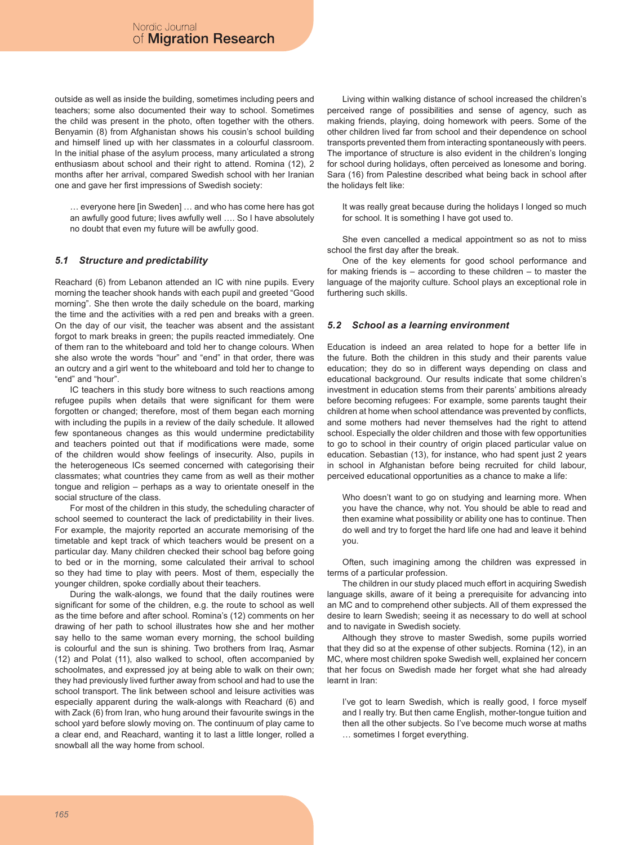outside as well as inside the building, sometimes including peers and teachers; some also documented their way to school. Sometimes the child was present in the photo, often together with the others. Benyamin (8) from Afghanistan shows his cousin's school building and himself lined up with her classmates in a colourful classroom. In the initial phase of the asylum process, many articulated a strong enthusiasm about school and their right to attend. Romina (12), 2 months after her arrival, compared Swedish school with her Iranian one and gave her first impressions of Swedish society:

… everyone here [in Sweden] … and who has come here has got an awfully good future; lives awfully well …. So I have absolutely no doubt that even my future will be awfully good.

# *5.1 Structure and predictability*

Reachard (6) from Lebanon attended an IC with nine pupils. Every morning the teacher shook hands with each pupil and greeted "Good morning". She then wrote the daily schedule on the board, marking the time and the activities with a red pen and breaks with a green. On the day of our visit, the teacher was absent and the assistant forgot to mark breaks in green; the pupils reacted immediately. One of them ran to the whiteboard and told her to change colours. When she also wrote the words "hour" and "end" in that order, there was an outcry and a girl went to the whiteboard and told her to change to "end" and "hour".

IC teachers in this study bore witness to such reactions among refugee pupils when details that were significant for them were forgotten or changed; therefore, most of them began each morning with including the pupils in a review of the daily schedule. It allowed few spontaneous changes as this would undermine predictability and teachers pointed out that if modifications were made, some of the children would show feelings of insecurity. Also, pupils in the heterogeneous ICs seemed concerned with categorising their classmates; what countries they came from as well as their mother tongue and religion – perhaps as a way to orientate oneself in the social structure of the class.

For most of the children in this study, the scheduling character of school seemed to counteract the lack of predictability in their lives. For example, the majority reported an accurate memorising of the timetable and kept track of which teachers would be present on a particular day. Many children checked their school bag before going to bed or in the morning, some calculated their arrival to school so they had time to play with peers. Most of them, especially the younger children, spoke cordially about their teachers.

During the walk-alongs, we found that the daily routines were significant for some of the children, e.g. the route to school as well as the time before and after school. Romina's (12) comments on her drawing of her path to school illustrates how she and her mother say hello to the same woman every morning, the school building is colourful and the sun is shining. Two brothers from Iraq, Asmar (12) and Polat (11), also walked to school, often accompanied by schoolmates, and expressed joy at being able to walk on their own; they had previously lived further away from school and had to use the school transport. The link between school and leisure activities was especially apparent during the walk-alongs with Reachard (6) and with Zack (6) from Iran, who hung around their favourite swings in the school yard before slowly moving on. The continuum of play came to a clear end, and Reachard, wanting it to last a little longer, rolled a snowball all the way home from school.

Living within walking distance of school increased the children's perceived range of possibilities and sense of agency, such as making friends, playing, doing homework with peers. Some of the other children lived far from school and their dependence on school transports prevented them from interacting spontaneously with peers. The importance of structure is also evident in the children's longing for school during holidays, often perceived as lonesome and boring. Sara (16) from Palestine described what being back in school after the holidays felt like:

It was really great because during the holidays I longed so much for school. It is something I have got used to.

She even cancelled a medical appointment so as not to miss school the first day after the break.

One of the key elements for good school performance and for making friends is – according to these children – to master the language of the majority culture. School plays an exceptional role in furthering such skills.

## *5.2 School as a learning environment*

Education is indeed an area related to hope for a better life in the future. Both the children in this study and their parents value education; they do so in different ways depending on class and educational background. Our results indicate that some children's investment in education stems from their parents' ambitions already before becoming refugees: For example, some parents taught their children at home when school attendance was prevented by conflicts, and some mothers had never themselves had the right to attend school. Especially the older children and those with few opportunities to go to school in their country of origin placed particular value on education. Sebastian (13), for instance, who had spent just 2 years in school in Afghanistan before being recruited for child labour, perceived educational opportunities as a chance to make a life:

Who doesn't want to go on studying and learning more. When you have the chance, why not. You should be able to read and then examine what possibility or ability one has to continue. Then do well and try to forget the hard life one had and leave it behind you.

Often, such imagining among the children was expressed in terms of a particular profession.

The children in our study placed much effort in acquiring Swedish language skills, aware of it being a prerequisite for advancing into an MC and to comprehend other subjects. All of them expressed the desire to learn Swedish; seeing it as necessary to do well at school and to navigate in Swedish society.

Although they strove to master Swedish, some pupils worried that they did so at the expense of other subjects. Romina (12), in an MC, where most children spoke Swedish well, explained her concern that her focus on Swedish made her forget what she had already learnt in Iran:

I've got to learn Swedish, which is really good, I force myself and I really try. But then came English, mother-tongue tuition and then all the other subjects. So I've become much worse at maths … sometimes I forget everything.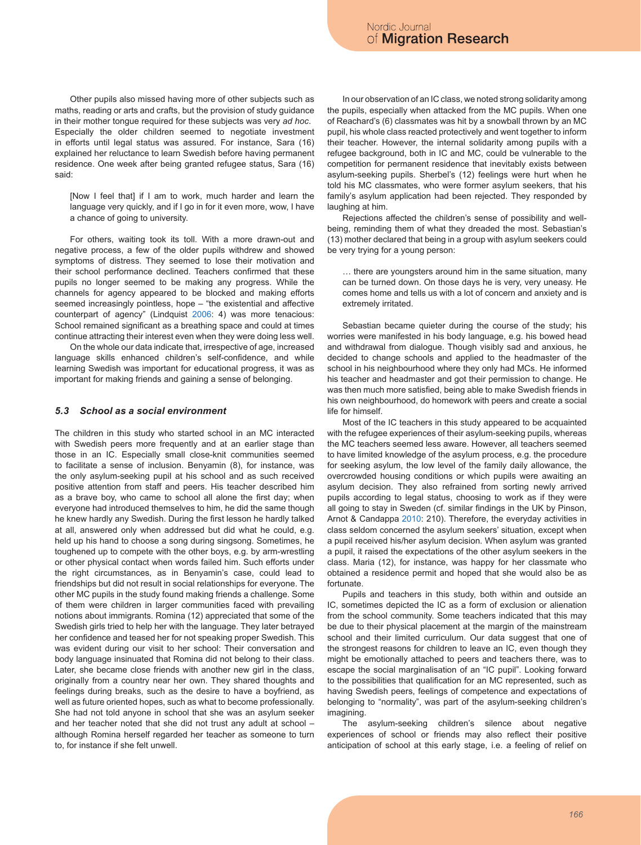Other pupils also missed having more of other subjects such as maths, reading or arts and crafts, but the provision of study guidance in their mother tongue required for these subjects was very *ad hoc*. Especially the older children seemed to negotiate investment in efforts until legal status was assured. For instance, Sara (16) explained her reluctance to learn Swedish before having permanent residence. One week after being granted refugee status, Sara (16) said:

[Now I feel that] if I am to work, much harder and learn the language very quickly, and if I go in for it even more, wow, I have a chance of going to university.

For others, waiting took its toll. With a more drawn-out and negative process, a few of the older pupils withdrew and showed symptoms of distress. They seemed to lose their motivation and their school performance declined. Teachers confirmed that these pupils no longer seemed to be making any progress. While the channels for agency appeared to be blocked and making efforts seemed increasingly pointless, hope – "the existential and affective counterpart of agency" (Lindquist 2006: 4) was more tenacious: School remained significant as a breathing space and could at times continue attracting their interest even when they were doing less well.

On the whole our data indicate that, irrespective of age, increased language skills enhanced children's self-confidence, and while learning Swedish was important for educational progress, it was as important for making friends and gaining a sense of belonging.

### *5.3 School as a social environment*

The children in this study who started school in an MC interacted with Swedish peers more frequently and at an earlier stage than those in an IC. Especially small close-knit communities seemed to facilitate a sense of inclusion. Benyamin (8), for instance, was the only asylum-seeking pupil at his school and as such received positive attention from staff and peers. His teacher described him as a brave boy, who came to school all alone the first day; when everyone had introduced themselves to him, he did the same though he knew hardly any Swedish. During the first lesson he hardly talked at all, answered only when addressed but did what he could, e.g. held up his hand to choose a song during singsong. Sometimes, he toughened up to compete with the other boys, e.g. by arm-wrestling or other physical contact when words failed him. Such efforts under the right circumstances, as in Benyamin's case, could lead to friendships but did not result in social relationships for everyone. The other MC pupils in the study found making friends a challenge. Some of them were children in larger communities faced with prevailing notions about immigrants. Romina (12) appreciated that some of the Swedish girls tried to help her with the language. They later betrayed her confidence and teased her for not speaking proper Swedish. This was evident during our visit to her school: Their conversation and body language insinuated that Romina did not belong to their class. Later, she became close friends with another new girl in the class, originally from a country near her own. They shared thoughts and feelings during breaks, such as the desire to have a boyfriend, as well as future oriented hopes, such as what to become professionally. She had not told anyone in school that she was an asylum seeker and her teacher noted that she did not trust any adult at school – although Romina herself regarded her teacher as someone to turn to, for instance if she felt unwell.

In our observation of an IC class, we noted strong solidarity among the pupils, especially when attacked from the MC pupils. When one of Reachard's (6) classmates was hit by a snowball thrown by an MC pupil, his whole class reacted protectively and went together to inform their teacher. However, the internal solidarity among pupils with a refugee background, both in IC and MC, could be vulnerable to the competition for permanent residence that inevitably exists between asylum-seeking pupils. Sherbel's (12) feelings were hurt when he told his MC classmates, who were former asylum seekers, that his family's asylum application had been rejected. They responded by laughing at him.

Rejections affected the children's sense of possibility and wellbeing, reminding them of what they dreaded the most. Sebastian's (13) mother declared that being in a group with asylum seekers could be very trying for a young person:

… there are youngsters around him in the same situation, many can be turned down. On those days he is very, very uneasy. He comes home and tells us with a lot of concern and anxiety and is extremely irritated.

Sebastian became quieter during the course of the study; his worries were manifested in his body language, e.g. his bowed head and withdrawal from dialogue. Though visibly sad and anxious, he decided to change schools and applied to the headmaster of the school in his neighbourhood where they only had MCs. He informed his teacher and headmaster and got their permission to change. He was then much more satisfied, being able to make Swedish friends in his own neighbourhood, do homework with peers and create a social life for himself.

Most of the IC teachers in this study appeared to be acquainted with the refugee experiences of their asylum-seeking pupils, whereas the MC teachers seemed less aware. However, all teachers seemed to have limited knowledge of the asylum process, e.g. the procedure for seeking asylum, the low level of the family daily allowance, the overcrowded housing conditions or which pupils were awaiting an asylum decision. They also refrained from sorting newly arrived pupils according to legal status, choosing to work as if they were all going to stay in Sweden (cf*.* similar findings in the UK by Pinson, Arnot & Candappa 2010: 210). Therefore, the everyday activities in class seldom concerned the asylum seekers' situation, except when a pupil received his/her asylum decision. When asylum was granted a pupil, it raised the expectations of the other asylum seekers in the class. Maria (12), for instance, was happy for her classmate who obtained a residence permit and hoped that she would also be as fortunate.

Pupils and teachers in this study, both within and outside an IC, sometimes depicted the IC as a form of exclusion or alienation from the school community. Some teachers indicated that this may be due to their physical placement at the margin of the mainstream school and their limited curriculum. Our data suggest that one of the strongest reasons for children to leave an IC, even though they might be emotionally attached to peers and teachers there, was to escape the social marginalisation of an "IC pupil". Looking forward to the possibilities that qualification for an MC represented, such as having Swedish peers, feelings of competence and expectations of belonging to "normality", was part of the asylum-seeking children's imagining.

The asylum-seeking children's silence about negative experiences of school or friends may also reflect their positive anticipation of school at this early stage, i.e. a feeling of relief on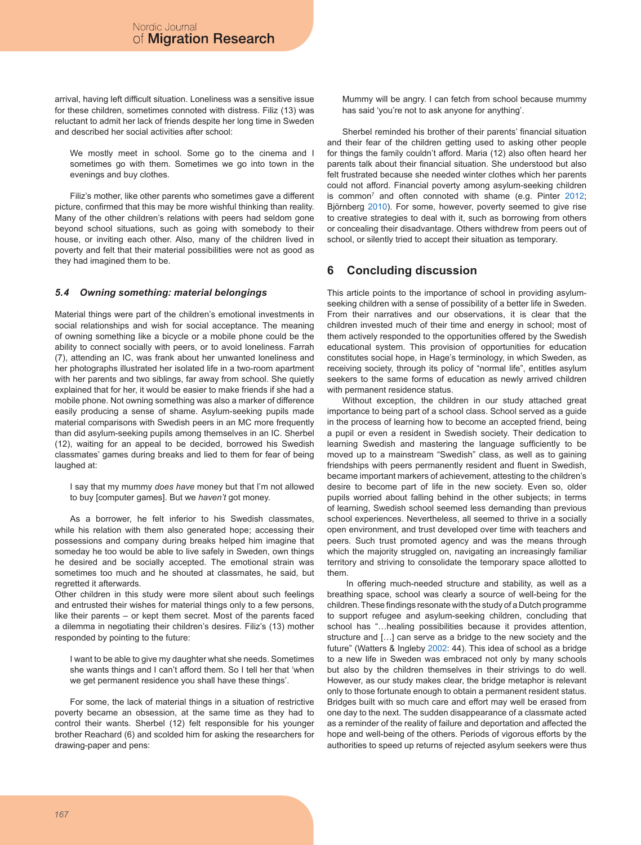arrival, having left difficult situation. Loneliness was a sensitive issue for these children, sometimes connoted with distress. Filiz (13) was reluctant to admit her lack of friends despite her long time in Sweden and described her social activities after school:

We mostly meet in school. Some go to the cinema and I sometimes go with them. Sometimes we go into town in the evenings and buy clothes.

Filiz's mother, like other parents who sometimes gave a different picture, confirmed that this may be more wishful thinking than reality. Many of the other children's relations with peers had seldom gone beyond school situations, such as going with somebody to their house, or inviting each other. Also, many of the children lived in poverty and felt that their material possibilities were not as good as they had imagined them to be.

# *5.4 Owning something: material belongings*

Material things were part of the children's emotional investments in social relationships and wish for social acceptance. The meaning of owning something like a bicycle or a mobile phone could be the ability to connect socially with peers, or to avoid loneliness. Farrah (7), attending an IC, was frank about her unwanted loneliness and her photographs illustrated her isolated life in a two-room apartment with her parents and two siblings, far away from school. She quietly explained that for her, it would be easier to make friends if she had a mobile phone. Not owning something was also a marker of difference easily producing a sense of shame. Asylum-seeking pupils made material comparisons with Swedish peers in an MC more frequently than did asylum-seeking pupils among themselves in an IC. Sherbel (12), waiting for an appeal to be decided, borrowed his Swedish classmates' games during breaks and lied to them for fear of being laughed at:

I say that my mummy *does have* money but that I'm not allowed to buy [computer games]. But we *haven't* got money.

As a borrower, he felt inferior to his Swedish classmates, while his relation with them also generated hope; accessing their possessions and company during breaks helped him imagine that someday he too would be able to live safely in Sweden, own things he desired and be socially accepted. The emotional strain was sometimes too much and he shouted at classmates, he said, but regretted it afterwards.

Other children in this study were more silent about such feelings and entrusted their wishes for material things only to a few persons, like their parents – or kept them secret. Most of the parents faced a dilemma in negotiating their children's desires. Filiz's (13) mother responded by pointing to the future:

I want to be able to give my daughter what she needs. Sometimes she wants things and I can't afford them. So I tell her that 'when we get permanent residence you shall have these things'.

For some, the lack of material things in a situation of restrictive poverty became an obsession, at the same time as they had to control their wants. Sherbel (12) felt responsible for his younger brother Reachard (6) and scolded him for asking the researchers for drawing-paper and pens:

Mummy will be angry. I can fetch from school because mummy has said 'you're not to ask anyone for anything'.

Sherbel reminded his brother of their parents' financial situation and their fear of the children getting used to asking other people for things the family couldn't afford. Maria (12) also often heard her parents talk about their financial situation. She understood but also felt frustrated because she needed winter clothes which her parents could not afford. Financial poverty among asylum-seeking children is common<sup>7</sup> and often connoted with shame (e.g. Pinter 2012; Björnberg 2010). For some, however, poverty seemed to give rise to creative strategies to deal with it, such as borrowing from others or concealing their disadvantage. Others withdrew from peers out of school, or silently tried to accept their situation as temporary.

# **6 Concluding discussion**

This article points to the importance of school in providing asylumseeking children with a sense of possibility of a better life in Sweden. From their narratives and our observations, it is clear that the children invested much of their time and energy in school; most of them actively responded to the opportunities offered by the Swedish educational system. This provision of opportunities for education constitutes social hope, in Hage's terminology, in which Sweden, as receiving society, through its policy of "normal life", entitles asylum seekers to the same forms of education as newly arrived children with permanent residence status.

Without exception, the children in our study attached great importance to being part of a school class. School served as a guide in the process of learning how to become an accepted friend, being a pupil or even a resident in Swedish society. Their dedication to learning Swedish and mastering the language sufficiently to be moved up to a mainstream "Swedish" class, as well as to gaining friendships with peers permanently resident and fluent in Swedish, became important markers of achievement, attesting to the children's desire to become part of life in the new society. Even so, older pupils worried about falling behind in the other subjects; in terms of learning, Swedish school seemed less demanding than previous school experiences. Nevertheless, all seemed to thrive in a socially open environment, and trust developed over time with teachers and peers. Such trust promoted agency and was the means through which the majority struggled on, navigating an increasingly familiar territory and striving to consolidate the temporary space allotted to them.

 In offering much-needed structure and stability, as well as a breathing space, school was clearly a source of well-being for the children. These findings resonate with the study of a Dutch programme to support refugee and asylum-seeking children, concluding that school has "…healing possibilities because it provides attention, structure and […] can serve as a bridge to the new society and the future" (Watters & Ingleby 2002: 44). This idea of school as a bridge to a new life in Sweden was embraced not only by many schools but also by the children themselves in their strivings to do well. However, as our study makes clear, the bridge metaphor is relevant only to those fortunate enough to obtain a permanent resident status. Bridges built with so much care and effort may well be erased from one day to the next. The sudden disappearance of a classmate acted as a reminder of the reality of failure and deportation and affected the hope and well-being of the others. Periods of vigorous efforts by the authorities to speed up returns of rejected asylum seekers were thus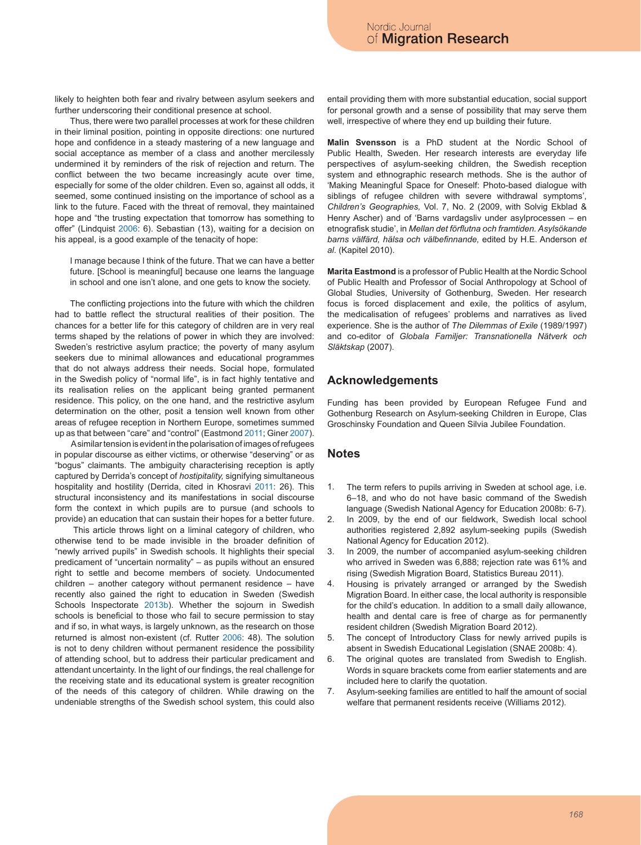likely to heighten both fear and rivalry between asylum seekers and further underscoring their conditional presence at school.

Thus, there were two parallel processes at work for these children in their liminal position, pointing in opposite directions: one nurtured hope and confidence in a steady mastering of a new language and social acceptance as member of a class and another mercilessly undermined it by reminders of the risk of rejection and return. The conflict between the two became increasingly acute over time, especially for some of the older children. Even so, against all odds, it seemed, some continued insisting on the importance of school as a link to the future. Faced with the threat of removal, they maintained hope and "the trusting expectation that tomorrow has something to offer" (Lindquist 2006: 6). Sebastian (13), waiting for a decision on his appeal, is a good example of the tenacity of hope:

I manage because I think of the future. That we can have a better future. [School is meaningful] because one learns the language in school and one isn't alone, and one gets to know the society.

The conflicting projections into the future with which the children had to battle reflect the structural realities of their position. The chances for a better life for this category of children are in very real terms shaped by the relations of power in which they are involved: Sweden's restrictive asylum practice; the poverty of many asylum seekers due to minimal allowances and educational programmes that do not always address their needs. Social hope, formulated in the Swedish policy of "normal life", is in fact highly tentative and its realisation relies on the applicant being granted permanent residence. This policy, on the one hand, and the restrictive asylum determination on the other, posit a tension well known from other areas of refugee reception in Northern Europe, sometimes summed up as that between "care" and "control" (Eastmond 2011; Giner 2007).

 A similar tension is evident in the polarisation of images of refugees in popular discourse as either victims, or otherwise "deserving" or as "bogus" claimants. The ambiguity characterising reception is aptly captured by Derrida's concept of *hostipitality,* signifying simultaneous hospitality and hostility (Derrida, cited in Khosravi 2011: 26). This structural inconsistency and its manifestations in social discourse form the context in which pupils are to pursue (and schools to provide) an education that can sustain their hopes for a better future.

 This article throws light on a liminal category of children, who otherwise tend to be made invisible in the broader definition of "newly arrived pupils" in Swedish schools. It highlights their special predicament of "uncertain normality" – as pupils without an ensured right to settle and become members of society. Undocumented children – another category without permanent residence – have recently also gained the right to education in Sweden (Swedish Schools Inspectorate 2013b). Whether the sojourn in Swedish schools is beneficial to those who fail to secure permission to stay and if so, in what ways, is largely unknown, as the research on those returned is almost non-existent (cf*.* Rutter 2006: 48). The solution is not to deny children without permanent residence the possibility of attending school, but to address their particular predicament and attendant uncertainty. In the light of our findings, the real challenge for the receiving state and its educational system is greater recognition of the needs of this category of children. While drawing on the undeniable strengths of the Swedish school system, this could also

entail providing them with more substantial education, social support for personal growth and a sense of possibility that may serve them well, irrespective of where they end up building their future.

**Malin Svensson** is a PhD student at the Nordic School of Public Health, Sweden. Her research interests are everyday life perspectives of asylum-seeking children, the Swedish reception system and ethnographic research methods. She is the author of 'Making Meaningful Space for Oneself: Photo-based dialogue with siblings of refugee children with severe withdrawal symptoms', *Children's Geographies,* Vol. 7, No. 2 (2009, with Solvig Ekblad & Henry Ascher) and of 'Barns vardagsliv under asylprocessen – en etnografisk studie', in *Mellan det förflutna och framtiden. Asylsökande barns välfärd, hälsa och välbefinnande,* edited by H.E. Anderson *et al*. (Kapitel 2010).

**Marita Eastmond** is a professor of Public Health at the Nordic School of Public Health and Professor of Social Anthropology at School of Global Studies, University of Gothenburg, Sweden. Her research focus is forced displacement and exile, the politics of asylum, the medicalisation of refugees' problems and narratives as lived experience. She is the author of *The Dilemmas of Exile* (1989/1997) and co-editor of *Globala Familjer: Transnationella Nätverk och Släktskap* (2007).

# **Acknowledgements**

Funding has been provided by European Refugee Fund and Gothenburg Research on Asylum-seeking Children in Europe, Clas Groschinsky Foundation and Queen Silvia Jubilee Foundation.

# **Notes**

- The term refers to pupils arriving in Sweden at school age, i.e. 6–18, and who do not have basic command of the Swedish language (Swedish National Agency for Education 2008b: 6-7). 1.
- In 2009, by the end of our fieldwork, Swedish local school authorities registered 2,892 asylum-seeking pupils (Swedish National Agency for Education 2012). 2.
- In 2009, the number of accompanied asylum-seeking children who arrived in Sweden was 6,888; rejection rate was 61% and rising (Swedish Migration Board, Statistics Bureau 2011). 3.
- Housing is privately arranged or arranged by the Swedish Migration Board. In either case, the local authority is responsible for the child's education. In addition to a small daily allowance, health and dental care is free of charge as for permanently resident children (Swedish Migration Board 2012). 4.
- The concept of Introductory Class for newly arrived pupils is absent in Swedish Educational Legislation (SNAE 2008b: 4). 5.
- The original quotes are translated from Swedish to English. Words in square brackets come from earlier statements and are included here to clarify the quotation. 6.
- Asylum-seeking families are entitled to half the amount of social welfare that permanent residents receive (Williams 2012). 7.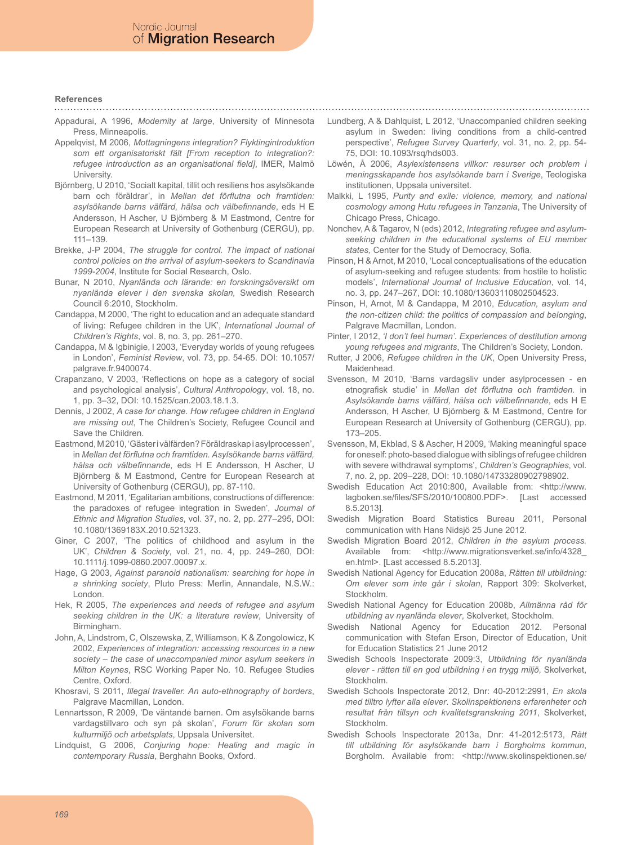- Appadurai, A 1996, *Modernity at large*, University of Minnesota Press, Minneapolis.
- Appelqvist, M 2006, *Mottagningens integration? Flyktingintroduktion som ett organisatoriskt fält [From reception to integration?: refugee introduction as an organisational field]*, IMER, Malmö University.
- Björnberg, U 2010, 'Socialt kapital, tillit och resiliens hos asylsökande barn och föräldrar', in *Mellan det förflutna och framtiden: asylsökande barns välfärd, hälsa och välbefinnande*, eds H E Andersson, H Ascher, U Björnberg & M Eastmond, Centre for European Research at University of Gothenburg (CERGU), pp. 111–139.
- Brekke, J-P 2004, *The struggle for control. The impact of national control policies on the arrival of asylum-seekers to Scandinavia 1999-2004*, Institute for Social Research, Oslo.
- Bunar, N 2010, *Nyanlända och lärande: en forskningsöversikt om nyanlända elever i den svenska skolan,* Swedish Research Council 6:2010, Stockholm.
- Candappa, M 2000, 'The right to education and an adequate standard of living: Refugee children in the UK', *International Journal of Children's Rights*, vol. 8, no. 3, pp. 261–270.
- Candappa, M & Igbinigie, I 2003, 'Everyday worlds of young refugees in London', *Feminist Review*, vol. 73, pp. 54-65. DOI: 10.1057/ palgrave.fr.9400074.
- Crapanzano, V 2003, 'Reflections on hope as a category of social and psychological analysis', *Cultural Anthropology*, vol. 18, no. 1, pp. 3–32, DOI: 10.1525/can.2003.18.1.3.
- Dennis, J 2002, *A case for change. How refugee children in England are missing out*, The Children's Society, Refugee Council and Save the Children.
- Eastmond, M 2010, 'Gäster i välfärden? Föräldraskap i asylprocessen', in *Mellan det förflutna och framtiden. Asylsökande barns välfärd, hälsa och välbefinnande*, eds H E Andersson, H Ascher, U Björnberg & M Eastmond, Centre for European Research at University of Gothenburg (CERGU), pp. 87-110.
- Eastmond, M 2011, 'Egalitarian ambitions, constructions of difference: the paradoxes of refugee integration in Sweden', *Journal of Ethnic and Migration Studies*, vol. 37, no. 2, pp. 277–295, DOI: 10.1080/1369183X.2010.521323.
- Giner, C 2007, 'The politics of childhood and asylum in the UK', *Children & Society*, vol. 21, no. 4, pp. 249–260, DOI: 10.1111/j.1099-0860.2007.00097.x.
- Hage, G 2003, *Against paranoid nationalism: searching for hope in a shrinking society*, Pluto Press: Merlin, Annandale, N.S.W.: London.
- Hek, R 2005, *The experiences and needs of refugee and asylum seeking children in the UK: a literature review*, University of Birmingham.
- John, A, Lindstrom, C, Olszewska, Z, Williamson, K & Zongolowicz, K 2002, *Experiences of integration: accessing resources in a new society – the case of unaccompanied minor asylum seekers in Milton Keynes*, RSC Working Paper No. 10. Refugee Studies Centre, Oxford.
- Khosravi, S 2011, *Illegal traveller. An auto-ethnography of borders*, Palgrave Macmillan, London.
- Lennartsson, R 2009, 'De väntande barnen. Om asylsökande barns vardagstillvaro och syn på skolan', *Forum för skolan som kulturmiljö och arbetsplats*, Uppsala Universitet.
- Lindquist, G 2006, *Conjuring hope: Healing and magic in contemporary Russia*, Berghahn Books, Oxford.
- Lundberg, A & Dahlquist, L 2012, 'Unaccompanied children seeking asylum in Sweden: living conditions from a child-centred perspective', *Refugee Survey Quarterly*, vol. 31, no. 2, pp. 54- 75, DOI: 10.1093/rsq/hds003.
- Löwén, Å 2006, *Asylexistensens villkor: resurser och problem i meningsskapande hos asylsökande barn i Sverige*, Teologiska institutionen, Uppsala universitet.
- Malkki, L 1995, *Purity and exile: violence, memory, and national cosmology among Hutu refugees in Tanzania*, The University of Chicago Press, Chicago.
- Nonchev, A & Tagarov, N (eds) 2012, *Integrating refugee and asylumseeking children in the educational systems of EU member states,* Center for the Study of Democracy, Sofia.
- Pinson, H & Arnot, M 2010, 'Local conceptualisations of the education of asylum-seeking and refugee students: from hostile to holistic models', *International Journal of Inclusive Education*, vol. 14, no. 3, pp. 247–267, DOI: 10.1080/13603110802504523.
- Pinson, H, Arnot, M & Candappa, M 2010, *Education, asylum and the non-citizen child: the politics of compassion and belonging*, Palgrave Macmillan, London.
- Pinter, I 2012, *'I don't feel human'. Experiences of destitution among young refugees and migrants*, The Children's Society, London.
- Rutter, J 2006, *Refugee children in the UK*, Open University Press, Maidenhead.
- Svensson, M 2010, 'Barns vardagsliv under asylprocessen en etnografisk studie' in *Mellan det förflutna och framtiden.* in *Asylsökande barns välfärd, hälsa och välbefinnande*, eds H E Andersson, H Ascher, U Björnberg & M Eastmond, Centre for European Research at University of Gothenburg (CERGU), pp. 173–205.
- Svensson, M, Ekblad, S & Ascher, H 2009, 'Making meaningful space for oneself: photo-based dialogue with siblings of refugee children with severe withdrawal symptoms', *Children's Geographies*, vol. 7, no. 2, pp. 209–228, DOI: 10.1080/14733280902798902.
- Swedish Education Act 2010:800, Available from: <http://www. lagboken.se/files/SFS/2010/100800.PDF>. [Last accessed 8.5.2013].
- Swedish Migration Board Statistics Bureau 2011, Personal communication with Hans Nidsjö 25 June 2012.
- Swedish Migration Board 2012, *Children in the asylum process.* <http://www.migrationsverket.se/info/4328\_ en.html>. [Last accessed 8.5.2013].
- Swedish National Agency for Education 2008a, *Rätten till utbildning: Om elever som inte går i skolan*, Rapport 309: Skolverket, Stockholm.
- Swedish National Agency for Education 2008b, *Allmänna råd för utbildning av nyanlända elever*, Skolverket, Stockholm.
- Swedish National Agency for Education 2012. Personal communication with Stefan Erson, Director of Education, Unit for Education Statistics 21 June 2012
- Swedish Schools Inspectorate 2009:3, *Utbildning för nyanlända elever - rätten till en god utbildning i en trygg miljö*, Skolverket, Stockholm.
- Swedish Schools Inspectorate 2012, Dnr: 40-2012:2991, *En skola med tilltro lyfter alla elever*. *Skolinspektionens erfarenheter och resultat från tillsyn och kvalitetsgranskning 2011*, Skolverket, Stockholm.
- Swedish Schools Inspectorate 2013a, Dnr: 41-2012:5173, *Rätt till utbildning för asylsökande barn i Borgholms kommun*, Borgholm. Available from: <http://www.skolinspektionen.se/